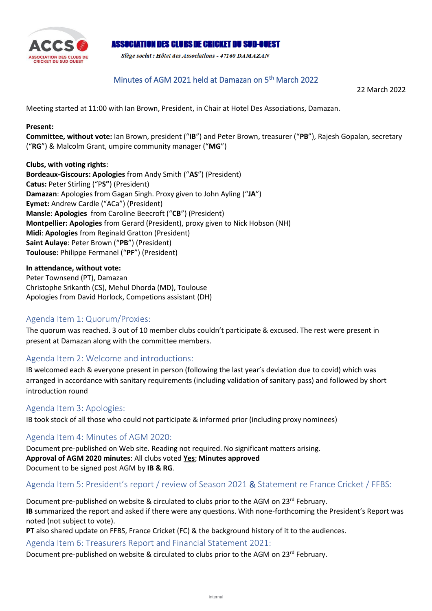

### **ASSOCIATION DES CLUBS DE CRICKET DU SUD-OUEST**

Siège social: Hôtel des Associations - 47160 DAMAZAN

### Minutes of AGM 2021 held at Damazan on 5<sup>th</sup> March 2022

22 March 2022

Meeting started at 11:00 with Ian Brown, President, in Chair at Hotel Des Associations, Damazan.

#### **Present:**

**Committee, without vote:** Ian Brown, president ("**IB**") and Peter Brown, treasurer ("**PB**"), Rajesh Gopalan, secretary ("**RG**") & Malcolm Grant, umpire community manager ("**MG**")

#### **Clubs, with voting rights**: **Bordeaux-Giscours: Apologies** from Andy Smith ("**AS**") (President)

**Catus:** Peter Stirling ("P**S"**) (President) **Damazan**: Apologies from Gagan Singh. Proxy given to John Ayling ("**JA**") **Eymet:** Andrew Cardle ("ACa") (President) **Mansle**: **Apologies** from Caroline Beecroft ("**CB**") (President) **Montpellier: Apologies** from Gerard (President), proxy given to Nick Hobson (NH) **Midi**: **Apologies** from Reginald Gratton (President) **Saint Aulaye**: Peter Brown ("**PB**") (President) **Toulouse**: Philippe Fermanel ("**PF**") (President)

#### **In attendance, without vote:**

Peter Townsend (PT), Damazan Christophe Srikanth (CS), Mehul Dhorda (MD), Toulouse Apologies from David Horlock, Competions assistant (DH)

### Agenda Item 1: Quorum/Proxies:

The quorum was reached. 3 out of 10 member clubs couldn't participate & excused. The rest were present in present at Damazan along with the committee members.

### Agenda Item 2: Welcome and introductions:

IB welcomed each & everyone present in person (following the last year's deviation due to covid) which was arranged in accordance with sanitary requirements (including validation of sanitary pass) and followed by short introduction round

#### Agenda Item 3: Apologies:

IB took stock of all those who could not participate & informed prior (including proxy nominees)

### Agenda Item 4: Minutes of AGM 2020:

Document pre-published on Web site. Reading not required. No significant matters arising. **Approval of AGM 2020 minutes**: All clubs voted **Yes**; **Minutes approved** Document to be signed post AGM by **IB & RG**.

### Agenda Item 5: President's report / review of Season 2021 & Statement re France Cricket / FFBS:

Document pre-published on website & circulated to clubs prior to the AGM on 23rd February. **IB** summarized the report and asked if there were any questions. With none-forthcoming the President's Report was noted (not subject to vote).

**PT** also shared update on FFBS, France Cricket (FC) & the background history of it to the audiences.

### Agenda Item 6: Treasurers Report and Financial Statement 2021:

Document pre-published on website & circulated to clubs prior to the AGM on 23<sup>rd</sup> February.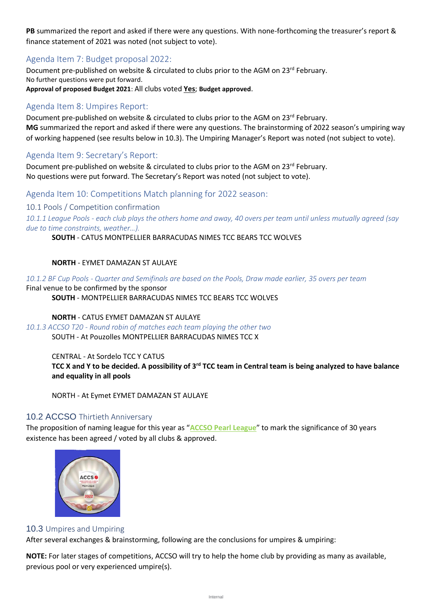**PB** summarized the report and asked if there were any questions. With none-forthcoming the treasurer's report & finance statement of 2021 was noted (not subject to vote).

# Agenda Item 7: Budget proposal 2022:

Document pre-published on website & circulated to clubs prior to the AGM on 23rd February. No further questions were put forward. **Approval of proposed Budget 2021**: All clubs voted **Yes**; **Budget approved**.

# Agenda Item 8: Umpires Report:

Document pre-published on website & circulated to clubs prior to the AGM on 23rd February. **MG** summarized the report and asked if there were any questions. The brainstorming of 2022 season's umpiring way of working happened (see results below in 10.3). The Umpiring Manager's Report was noted (not subject to vote).

# Agenda Item 9: Secretary's Report:

Document pre-published on website & circulated to clubs prior to the AGM on 23<sup>rd</sup> February. No questions were put forward. The Secretary's Report was noted (not subject to vote).

Agenda Item 10: Competitions Match planning for 2022 season:

10.1 Pools / Competition confirmation

*10.1.1 League Pools - each club plays the others home and away, 40 overs per team until unless mutually agreed (say due to time constraints, weather…).*

### **SOUTH** - CATUS MONTPELLIER BARRACUDAS NIMES TCC BEARS TCC WOLVES

### **NORTH** - EYMET DAMAZAN ST AULAYE

*10.1.2 BF Cup Pools - Quarter and Semifinals are based on the Pools, Draw made earlier, 35 overs per team*

Final venue to be confirmed by the sponsor

**SOUTH** - MONTPELLIER BARRACUDAS NIMES TCC BEARS TCC WOLVES

### **NORTH** - CATUS EYMET DAMAZAN ST AULAYE

*10.1.3 ACCSO T20 - Round robin of matches each team playing the other two* SOUTH - At Pouzolles MONTPELLIER BARRACUDAS NIMES TCC X

#### CENTRAL - At Sordelo TCC Y CATUS **TCC X and Y to be decided. A possibility of 3rd TCC team in Central team is being analyzed to have balance and equality in all pools**

NORTH - At Eymet EYMET DAMAZAN ST AULAYE

### 10.2 ACCSO Thirtieth Anniversary

The proposition of naming league for this year as "**ACCSO Pearl League**" to mark the significance of 30 years existence has been agreed / voted by all clubs & approved.



### 10.3 Umpires and Umpiring

After several exchanges & brainstorming, following are the conclusions for umpires & umpiring:

**NOTE:** For later stages of competitions, ACCSO will try to help the home club by providing as many as available, previous pool or very experienced umpire(s).